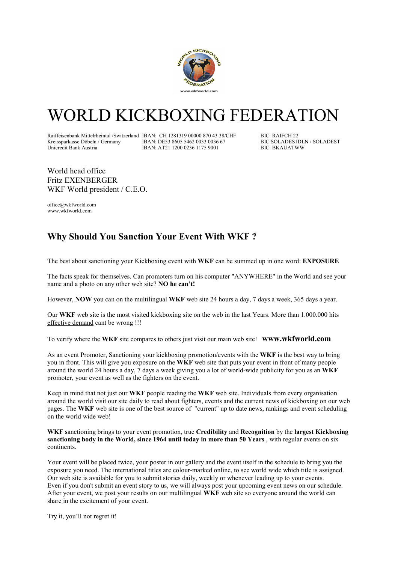

## WORLD KICKBOXING FEDERATION

Raiffeisenbank Mittelrheintal /Switzerland IBAN: CH 1281319 00000 870 43 38/CHF BIC: RAIFCH 22<br>Kreissparkasse Döbeln / Germany IBAN: DE53 8605 5462 0033 0036 67 BIC: SOLADESIDLN / SOLADEST Kreissparkasse Döbeln / Germany IBAN: DE53 8605 5462 0033 0036 67 BIC:SOLADES1DL<br>Unicredit Bank Austria IBAN: AT21 1200 0236 1175 9001 BIC: BKAUATWW

IBAN: AT21 1200 0236 1175 9001

World head office Fritz EXENBERGER WKF World president / C.E.O.

office@wkfworld.com www.wkfworld.com

## Why Should You Sanction Your Event With WKF ?

The best about sanctioning your Kickboxing event with WKF can be summed up in one word: EXPOSURE

The facts speak for themselves. Can promoters turn on his computer "ANYWHERE" in the World and see your name and a photo on any other web site? NO he can't!

However, NOW you can on the multilingual WKF web site 24 hours a day, 7 days a week, 365 days a year.

Our WKF web site is the most visited kickboxing site on the web in the last Years. More than 1.000.000 hits effective demand cant be wrong !!!

To verify where the WKF site compares to others just visit our main web site! www.wkfworld.com

As an event Promoter, Sanctioning your kickboxing promotion/events with the WKF is the best way to bring you in front. This will give you exposure on the WKF web site that puts your event in front of many people around the world 24 hours a day, 7 days a week giving you a lot of world-wide publicity for you as an WKF promoter, your event as well as the fighters on the event.

Keep in mind that not just our WKF people reading the WKF web site. Individuals from every organisation around the world visit our site daily to read about fighters, events and the current news of kickboxing on our web pages. The WKF web site is one of the best source of "current" up to date news, rankings and event scheduling on the world wide web!

WKF sanctioning brings to your event promotion, true Credibility and Recognition by the largest Kickboxing sanctioning body in the World, since 1964 until today in more than 50 Years, with regular events on six continents.

Your event will be placed twice, your poster in our gallery and the event itself in the schedule to bring you the exposure you need. The international titles are colour-marked online, to see world wide which title is assigned. Our web site is available for you to submit stories daily, weekly or whenever leading up to your events. Even if you don't submit an event story to us, we will always post your upcoming event news on our schedule. After your event, we post your results on our multilingual WKF web site so everyone around the world can share in the excitement of your event.

Try it, you'll not regret it!